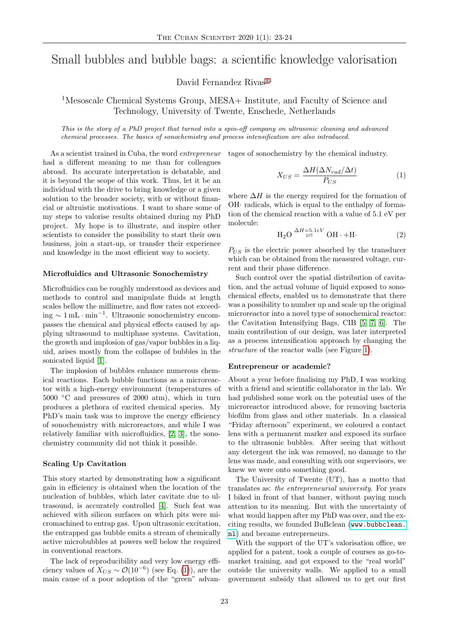# Small bubbles and bubble bags: a scientific knowledge valorisation

David Fernandez Rivas<sup>[a1](#page-1-0)</sup>

<sup>1</sup>Mesoscale Chemical Systems Group, MESA+ Institute, and Faculty of Science and Technology, University of Twente, Enschede, Netherlands

This is the story of a PhD project that turned into a spin-off company on ultrasonic cleaning and advanced chemical processes. The basics of sonochemistry and process intensification are also introduced.

As a scientist trained in Cuba, the word entrepreneur had a different meaning to me than for colleagues abroad. Its accurate interpretation is debatable, and it is beyond the scope of this work. Thus, let it be an individual with the drive to bring knowledge or a given solution to the broader society, with or without financial or altruistic motivations. I want to share some of my steps to valorise results obtained during my PhD project. My hope is to illustrate, and inspire other scientists to consider the possibility to start their own business, join a start-up, or transfer their experience and knowledge in the most efficient way to society.

## Microfluidics and Ultrasonic Sonochemistry

Microfluidics can be roughly understood as devices and methods to control and manipulate fluids at length scales bellow the millimetre, and flow rates not exceeding  $\sim 1 \text{ mL} \cdot \text{min}^{-1}$ . Ultrasonic sonochemistry encompasses the chemical and physical effects caused by applying ultrasound to multiphase systems. Cavitation, the growth and implosion of gas/vapor bubbles in a liquid, arises mostly from the collapse of bubbles in the sonicated liquid [\[1\]](#page-1-1).

The implosion of bubbles enhance numerous chemical reactions. Each bubble functions as a microreactor with a high-energy environment (temperatures of  $5000\text{ °C}$  and pressures of 2000 atm), which in turn produces a plethora of excited chemical species. My PhD's main task was to improve the energy efficiency of sonochemistry with microreactors, and while I was relatively familiar with microfluidics, [\[2,](#page-1-2) [3\]](#page-1-3), the sonochemistry community did not think it possible.

## Scaling Up Cavitation

This story started by demonstrating how a significant gain in efficiency is obtained when the location of the nucleation of bubbles, which later cavitate due to ultrasound, is accurately controlled [\[4\]](#page-1-4). Such feat was achieved with silicon surfaces on which pits were micromachined to entrap gas. Upon ultrasonic excitation, the entrapped gas bubble emits a stream of chemically active microbubbles at powers well below the required in conventional reactors.

The lack of reproducibility and very low energy efficiency values of  $X_{US} \sim \mathcal{O}(10^{-6})$  (see Eq. [\(1\)](#page-0-0)), are the main cause of a poor adoption of the "green" advantages of sonochemistry by the chemical industry.

<span id="page-0-0"></span>
$$
X_{US} = \frac{\Delta H(\Delta N_{rad}/\Delta t)}{P_{US}}\tag{1}
$$

where  $\Delta H$  is the energy required for the formation of OH· radicals, which is equal to the enthalpy of formation of the chemical reaction with a value of 5.1 eV per molecule:

$$
H_2O \stackrel{\Delta H=5.1eV}{\rightleftharpoons} OH \cdot + H \cdot (2)
$$

 $P_{US}$  is the electric power absorbed by the transducer which can be obtained from the measured voltage, current and their phase difference.

Such control over the spatial distribution of cavitation, and the actual volume of liquid exposed to sonochemical effects, enabled us to demonstrate that there was a possibility to number up and scale up the original microreactor into a novel type of sonochemical reactor: the Cavitation Intensifying Bags, CIB [\[5,](#page-1-5) [7,](#page-1-6) [6\]](#page-1-7). The main contribution of our design, was later interpreted as a process intensification approach by changing the structure of the reactor walls (see Figure [1\)](#page-1-8).

### Entrepreneur or academic?

About a year before finalising my PhD, I was working with a friend and scientific collaborator in the lab. We had published some work on the potential uses of the microreactor introduced above, for removing bacteria biofilm from glass and other materials. In a classical "Friday afternoon" experiment, we coloured a contact lens with a permanent marker and exposed its surface to the ultrasonic bubbles. After seeing that without any detergent the ink was removed, no damage to the lens was made, and consulting with our supervisors, we knew we were onto something good.

The University of Twente (UT), has a motto that translates as: the entrepreneurial university. For years I biked in front of that banner, without paying much attention to its meaning. But with the uncertainty of what would happen after my PhD was over, and the exciting results, we founded BuBclean ([www.bubbclean.](www.bubbclean.nl) [nl](www.bubbclean.nl)) and became entrepreneurs.

With the support of the UT's valorisation office, we applied for a patent, took a couple of courses as go-tomarket training, and got exposed to the "real world" outside the university walls. We applied to a small government subsidy that allowed us to get our first